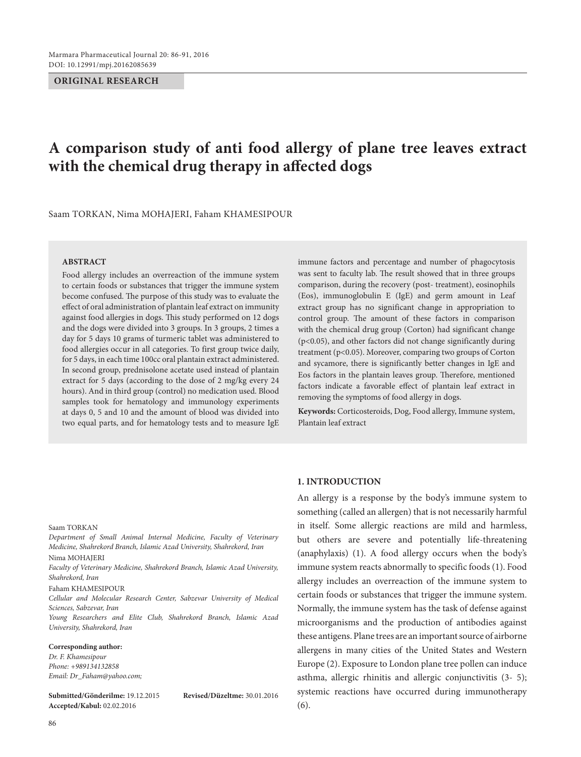#### **ORIGINAL RESEARCH**

# **A comparison study of anti food allergy of plane tree leaves extract with the chemical drug therapy in affected dogs**

Saam TORKAN, Nima MOHAJERI, Faham KHAMESIPOUR

## **ABSTRACT**

Food allergy includes an overreaction of the immune system to certain foods or substances that trigger the immune system become confused. The purpose of this study was to evaluate the effect of oral administration of plantain leaf extract on immunity against food allergies in dogs. This study performed on 12 dogs and the dogs were divided into 3 groups. In 3 groups, 2 times a day for 5 days 10 grams of turmeric tablet was administered to food allergies occur in all categories. To first group twice daily, for 5 days, in each time 100cc oral plantain extract administered. In second group, prednisolone acetate used instead of plantain extract for 5 days (according to the dose of 2 mg/kg every 24 hours). And in third group (control) no medication used. Blood samples took for hematology and immunology experiments at days 0, 5 and 10 and the amount of blood was divided into two equal parts, and for hematology tests and to measure IgE immune factors and percentage and number of phagocytosis was sent to faculty lab. The result showed that in three groups comparison, during the recovery (post- treatment), eosinophils (Eos), immunoglobulin E (IgE) and germ amount in Leaf extract group has no significant change in appropriation to control group. The amount of these factors in comparison with the chemical drug group (Corton) had significant change (p<0.05), and other factors did not change significantly during treatment (p<0.05). Moreover, comparing two groups of Corton and sycamore, there is significantly better changes in IgE and Eos factors in the plantain leaves group. Therefore, mentioned factors indicate a favorable effect of plantain leaf extract in removing the symptoms of food allergy in dogs.

**Keywords:** Corticosteroids, Dog, Food allergy, Immune system, Plantain leaf extract

# **1. INTRODUCTION**

An allergy is a response by the body's immune system to something (called an allergen) that is not necessarily harmful in itself. Some allergic reactions are mild and harmless, but others are severe and potentially life-threatening (anaphylaxis) (1). A food allergy occurs when the body's immune system reacts abnormally to specific foods (1). Food allergy includes an overreaction of the immune system to certain foods or substances that trigger the immune system. Normally, the immune system has the task of defense against microorganisms and the production of antibodies against these antigens. Plane trees are an important source of airborne allergens in many cities of the United States and Western Europe (2). Exposure to London plane tree pollen can induce asthma, allergic rhinitis and allergic conjunctivitis (3- 5); systemic reactions have occurred during immunotherapy (6).

#### Saam TORKAN

*Department of Small Animal Internal Medicine, Faculty of Veterinary Medicine, Shahrekord Branch, Islamic Azad University, Shahrekord, Iran* Nima MOHAJERI

*Faculty of Veterinary Medicine, Shahrekord Branch, Islamic Azad University, Shahrekord, Iran* 

#### Faham KHAMESIPOUR

*Cellular and Molecular Research Center, Sabzevar University of Medical Sciences, Sabzevar, Iran*

*Young Researchers and Elite Club, Shahrekord Branch, Islamic Azad University, Shahrekord, Iran*

#### **Corresponding author:**

*Dr. F. Khamesipour Phone: +989134132858 Email: Dr\_Faham@yahoo.com;*

**Submitted/Gönderilme:** 19.12.2015 **Revised/Düzeltme:** 30.01.2016 **Accepted/Kabul:** 02.02.2016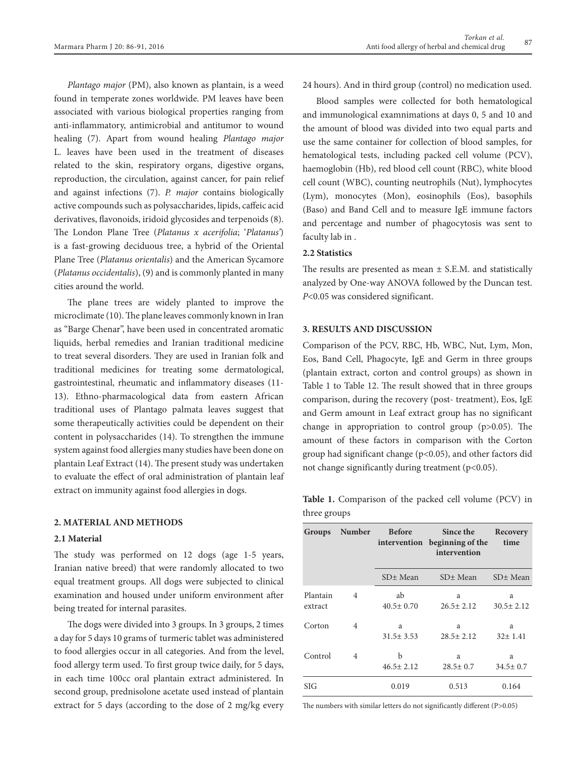*Plantago major* (PM), also known as plantain, is a weed found in temperate zones worldwide. PM leaves have been associated with various biological properties ranging from anti-inflammatory, antimicrobial and antitumor to wound healing (7). Apart from wound healing *Plantago major* L. leaves have been used in the treatment of diseases related to the skin, respiratory organs, digestive organs, reproduction, the circulation, against cancer, for pain relief and against infections (7). *P. major* contains biologically active compounds such as polysaccharides, lipids, caffeic acid derivatives, flavonoids, iridoid glycosides and terpenoids (8). The London Plane Tree (*Platanus x acerifolia*; '*Platanus'*) is a fast-growing deciduous tree, a hybrid of the Oriental Plane Tree (*Platanus orientalis*) and the American Sycamore (*Platanus occidentalis*), (9) and is commonly planted in many cities around the world.

The plane trees are widely planted to improve the microclimate (10). The plane leaves commonly known in Iran as "Barge Chenar", have been used in concentrated aromatic liquids, herbal remedies and Iranian traditional medicine to treat several disorders. They are used in Iranian folk and traditional medicines for treating some dermatological, gastrointestinal, rheumatic and inflammatory diseases (11- 13). Ethno-pharmacological data from eastern African traditional uses of Plantago palmata leaves suggest that some therapeutically activities could be dependent on their content in polysaccharides (14). To strengthen the immune system against food allergies many studies have been done on plantain Leaf Extract (14). The present study was undertaken to evaluate the effect of oral administration of plantain leaf extract on immunity against food allergies in dogs.

# **2. MATERIAL AND METHODS**

# **2.1 Material**

The study was performed on 12 dogs (age 1-5 years, Iranian native breed) that were randomly allocated to two equal treatment groups. All dogs were subjected to clinical examination and housed under uniform environment after being treated for internal parasites.

The dogs were divided into 3 groups. In 3 groups, 2 times a day for 5 days 10 grams of turmeric tablet was administered to food allergies occur in all categories. And from the level, food allergy term used. To first group twice daily, for 5 days, in each time 100cc oral plantain extract administered. In second group, prednisolone acetate used instead of plantain extract for 5 days (according to the dose of 2 mg/kg every 24 hours). And in third group (control) no medication used.

Blood samples were collected for both hematological and immunological examnimations at days 0, 5 and 10 and the amount of blood was divided into two equal parts and use the same container for collection of blood samples, for hematological tests, including packed cell volume (PCV), haemoglobin (Hb), red blood cell count (RBC), white blood cell count (WBC), counting neutrophils (Nut), lymphocytes (Lym), monocytes (Mon), eosinophils (Eos), basophils (Baso) and Band Cell and to measure IgE immune factors and percentage and number of phagocytosis was sent to faculty lab in .

# **2.2 Statistics**

The results are presented as mean  $\pm$  S.E.M. and statistically analyzed by One-way ANOVA followed by the Duncan test. *P*<0.05 was considered significant.

# **3. RESULTS AND DISCUSSION**

Comparison of the PCV, RBC, Hb, WBC, Nut, Lym, Mon, Eos, Band Cell, Phagocyte, IgE and Germ in three groups (plantain extract, corton and control groups) as shown in Table 1 to Table 12. The result showed that in three groups comparison, during the recovery (post- treatment), Eos, IgE and Germ amount in Leaf extract group has no significant change in appropriation to control group  $(p>0.05)$ . The amount of these factors in comparison with the Corton group had significant change (p<0.05), and other factors did not change significantly during treatment (p<0.05).

**Table 1.** Comparison of the packed cell volume (PCV) in three groups

| Groups              | Number         | <b>Before</b><br>intervention | Since the<br>beginning of the<br>intervention | Recovery<br>time     |
|---------------------|----------------|-------------------------------|-----------------------------------------------|----------------------|
|                     |                | SD± Mean                      | $SD±$ Mean                                    | SD± Mean             |
| Plantain<br>extract | $\overline{4}$ | ab<br>$40.5 \pm 0.70$         | a<br>$26.5 \pm 2.12$                          | a<br>$30.5 \pm 2.12$ |
| Corton              | 4              | a<br>$31.5 \pm 3.53$          | a<br>$28.5 \pm 2.12$                          | a<br>$32 \pm 1.41$   |
| Control             | 4              | b<br>$46.5 \pm 2.12$          | a<br>$28.5 \pm 0.7$                           | a<br>$34.5 \pm 0.7$  |
| <b>SIG</b>          |                | 0.019                         | 0.513                                         | 0.164                |

The numbers with similar letters do not significantly different (P>0.05)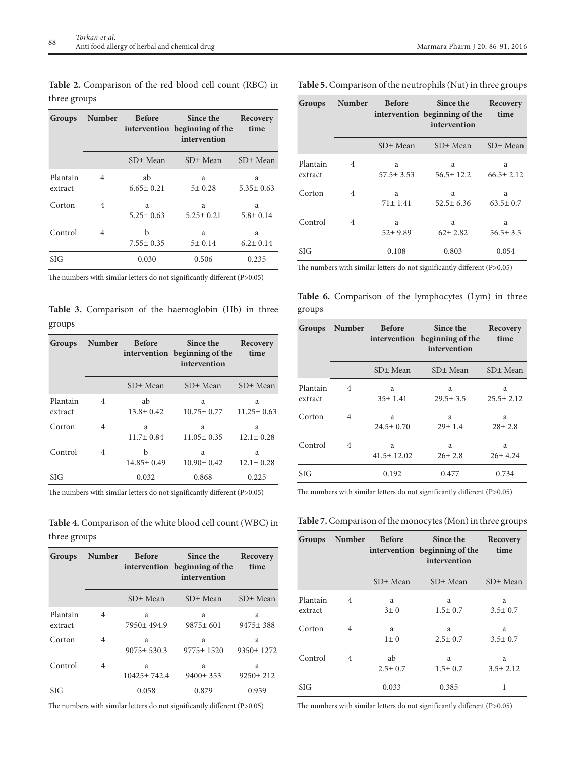**Table 2.** Comparison of the red blood cell count (RBC) in three groups

| Groups              | Number | <b>Before</b>         | Since the<br>intervention beginning of the<br>intervention | Recovery<br>time     |
|---------------------|--------|-----------------------|------------------------------------------------------------|----------------------|
|                     |        | SD± Mean              | SD± Mean                                                   | SD± Mean             |
| Plantain<br>extract | 4      | ab<br>$6.65 \pm 0.21$ | a<br>$5 \pm 0.28$                                          | a<br>$5.35 \pm 0.63$ |
| Corton              | 4      | a<br>$5.25 \pm 0.63$  | a<br>$5.25 \pm 0.21$                                       | a<br>$5.8 \pm 0.14$  |
| Control             | 4      | h<br>$7.55 \pm 0.35$  | a<br>5±0.14                                                | a<br>$6.2 \pm 0.14$  |
| <b>SIG</b>          |        | 0.030                 | 0.506                                                      | 0.235                |

The numbers with similar letters do not significantly different (P>0.05)

**Table 3.** Comparison of the haemoglobin (Hb) in three groups

| Groups              | Number         | <b>Before</b>         | Since the<br>intervention beginning of the<br>intervention | Recovery<br>time      |
|---------------------|----------------|-----------------------|------------------------------------------------------------|-----------------------|
|                     |                | SD± Mean              | $SD±$ Mean                                                 | SD± Mean              |
| Plantain<br>extract | $\overline{4}$ | ab<br>$13.8 \pm 0.42$ | a<br>$10.75 \pm 0.77$                                      | a<br>$11.25 \pm 0.63$ |
| Corton              | $\overline{4}$ | a<br>$11.7 \pm 0.84$  | a<br>$11.05 \pm 0.35$                                      | a<br>$12.1 \pm 0.28$  |
| Control             | 4              | b<br>$14.85 \pm 0.49$ | a<br>$10.90 \pm 0.42$                                      | a<br>$12.1 \pm 0.28$  |
| <b>SIG</b>          |                | 0.032                 | 0.868                                                      | 0.225                 |

The numbers with similar letters do not significantly different (P>0.05)

**Table 4.** Comparison of the white blood cell count (WBC) in three groups

| Groups              | Number         | <b>Before</b>         | Since the<br>intervention beginning of the<br>intervention | Recovery<br>time     |
|---------------------|----------------|-----------------------|------------------------------------------------------------|----------------------|
|                     |                | $SD±$ Mean            | SD± Mean                                                   | $SD±$ Mean           |
| Plantain<br>extract | $\overline{4}$ | a<br>$7950 \pm 494.9$ | a<br>$9875 \pm 601$                                        | a<br>9475±388        |
| Corton              | 4              | a<br>$9075 \pm 530.3$ | a<br>$9775 \pm 1520$                                       | a<br>$9350 \pm 1272$ |
| Control             | 4              | a<br>10425±742.4      | a<br>$9400 \pm 353$                                        | a<br>$9250 \pm 212$  |
| <b>SIG</b>          |                | 0.058                 | 0.879                                                      | 0.959                |

The numbers with similar letters do not significantly different (P>0.05)

|  |  | Table 5. Comparison of the neutrophils (Nut) in three groups |
|--|--|--------------------------------------------------------------|
|--|--|--------------------------------------------------------------|

| Groups              | Number | <b>Before</b>        | Since the<br>intervention beginning of the<br>intervention | Recovery<br>time     |
|---------------------|--------|----------------------|------------------------------------------------------------|----------------------|
|                     |        | SD± Mean             | SD± Mean                                                   | SD± Mean             |
| Plantain<br>extract | 4      | a<br>$57.5 \pm 3.53$ | a<br>$56.5 \pm 12.2$                                       | a<br>$66.5 \pm 2.12$ |
| Corton              | 4      | a<br>$71 \pm 1.41$   | a<br>$52.5 \pm 6.36$                                       | a<br>$63.5 \pm 0.7$  |
| Control             | 4      | a<br>$52 \pm 9.89$   | a<br>$62 \pm 2.82$                                         | a<br>$56.5 \pm 3.5$  |
| <b>SIG</b>          |        | 0.108                | 0.803                                                      | 0.054                |

The numbers with similar letters do not significantly different (P>0.05)

Table 6. Comparison of the lymphocytes (Lym) in three groups

| Groups              | Number         | <b>Before</b>         | Since the<br>intervention beginning of the<br>intervention | Recovery<br>time     |
|---------------------|----------------|-----------------------|------------------------------------------------------------|----------------------|
|                     |                | SD± Mean              | SD± Mean                                                   | SD± Mean             |
| Plantain<br>extract | 4              | a<br>$35 \pm 1.41$    | a<br>$29.5 \pm 3.5$                                        | a<br>$25.5 \pm 2.12$ |
| Corton              | 4              | a<br>$24.5 \pm 0.70$  | a<br>$29 \pm 1.4$                                          | a<br>$28 \pm 2.8$    |
| Control             | $\overline{4}$ | a<br>$41.5 \pm 12.02$ | a<br>$26 \pm 2.8$                                          | a<br>$26 \pm 4.24$   |
| SIG                 |                | 0.192                 | 0.477                                                      | 0.734                |

The numbers with similar letters do not significantly different (P>0.05)

**Table 7.** Comparison of the monocytes (Mon) in three groups

| Groups              | Number         | <b>Before</b>       | Since the<br>intervention beginning of the<br>intervention | Recovery<br>time    |
|---------------------|----------------|---------------------|------------------------------------------------------------|---------------------|
|                     |                | SD± Mean            | SD± Mean                                                   | SD± Mean            |
| Plantain<br>extract | 4              | a<br>$3 + 0$        | a<br>$1.5 \pm 0.7$                                         | a<br>$3.5 \pm 0.7$  |
| Corton              | $\overline{4}$ | a<br>$1\pm 0$       | a<br>$2.5 \pm 0.7$                                         | a<br>$3.5 \pm 0.7$  |
| Control             | 4              | ab<br>$2.5 \pm 0.7$ | a<br>$1.5 \pm 0.7$                                         | a<br>$3.5 \pm 2.12$ |
| <b>SIG</b>          |                | 0.033               | 0.385                                                      | 1                   |

The numbers with similar letters do not significantly different (P>0.05)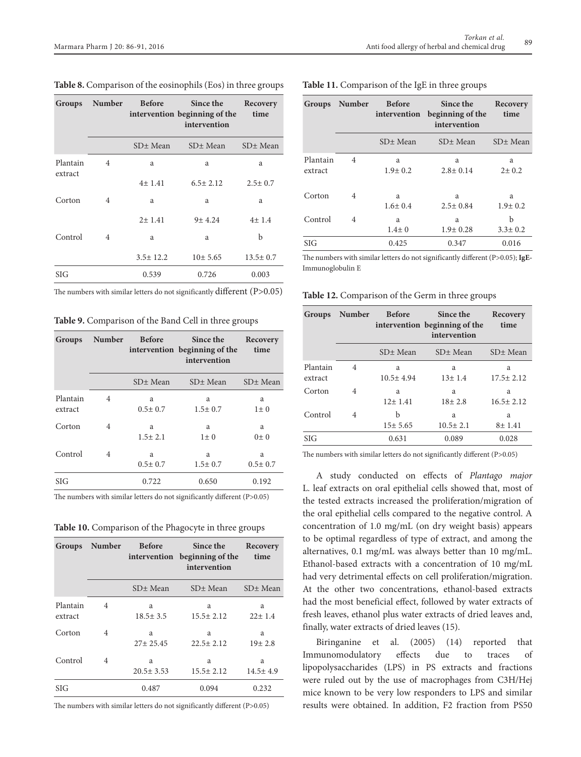| Groups              | Number         | <b>Before</b>  | Since the<br>intervention beginning of the<br>intervention | Recovery<br>time |
|---------------------|----------------|----------------|------------------------------------------------------------|------------------|
|                     |                | $SD±$ Mean     | $SD±$ Mean                                                 | SD± Mean         |
| Plantain<br>extract | $\overline{4}$ | a              | a                                                          | a                |
|                     |                | $4 \pm 1.41$   | $6.5 \pm 2.12$                                             | $2.5 \pm 0.7$    |
| Corton              | $\overline{4}$ | a              | a                                                          | a                |
|                     |                | 2 ± 1.41       | $9 + 4.24$                                                 | 4±1.4            |
| Control             | $\overline{4}$ | a              | a                                                          | b                |
|                     |                | $3.5 \pm 12.2$ | 10±5.65                                                    | $13.5 \pm 0.7$   |
| <b>SIG</b>          |                | 0.539          | 0.726                                                      | 0.003            |

**Table 8.** Comparison of the eosinophils (Eos) in three groups

The numbers with similar letters do not significantly different  $(P>0.05)$ 

**Table 9.** Comparison of the Band Cell in three groups

| Groups              | Number         | <b>Before</b>      | Since the<br>intervention beginning of the<br>intervention | Recovery<br>time   |
|---------------------|----------------|--------------------|------------------------------------------------------------|--------------------|
|                     |                | $SD±$ Mean         | SD± Mean                                                   | $SD±$ Mean         |
| Plantain<br>extract | 4              | a<br>$0.5 \pm 0.7$ | a<br>$1.5 \pm 0.7$                                         | a<br>$1 \pm 0$     |
| Corton              | $\overline{4}$ | a<br>$1.5 \pm 2.1$ | a<br>$1\pm 0$                                              | a<br>$0 + 0$       |
| Control             | 4              | a<br>$0.5 \pm 0.7$ | a<br>$1.5 \pm 0.7$                                         | a<br>$0.5 \pm 0.7$ |
| SIG                 |                | 0.722              | 0.650                                                      | 0.192              |

The numbers with similar letters do not significantly different (P>0.05)

**Table 10.** Comparison of the Phagocyte in three groups

| Groups              | Number | <b>Before</b><br>intervention | Since the<br>beginning of the<br>intervention | Recovery<br>time    |
|---------------------|--------|-------------------------------|-----------------------------------------------|---------------------|
|                     |        | SD± Mean                      | SD± Mean                                      | SD± Mean            |
| Plantain<br>extract | 4      | a<br>$18.5 \pm 3.5$           | a<br>$15.5 \pm 2.12$                          | a<br>$22 \pm 1.4$   |
| Corton              | 4      | a<br>$27 \pm 25.45$           | a<br>$22.5 \pm 2.12$                          | a<br>$19\pm 2.8$    |
| Control             | 4      | a<br>$20.5 \pm 3.53$          | a<br>$15.5 \pm 2.12$                          | a<br>$14.5 \pm 4.9$ |
| SIG                 |        | 0.487                         | 0.094                                         | 0.232               |

The numbers with similar letters do not significantly different (P>0.05)

| Groups              | Number         | <b>Before</b><br>intervention | Since the<br>beginning of the<br>intervention | Recovery<br>time   |
|---------------------|----------------|-------------------------------|-----------------------------------------------|--------------------|
|                     |                | SD± Mean                      | SD± Mean                                      | $SD±$ Mean         |
| Plantain<br>extract | $\overline{4}$ | a<br>$1.9 \pm 0.2$            | a<br>$2.8 \pm 0.14$                           | a<br>$2 \pm 0.2$   |
| Corton              | 4              | a<br>$1.6 \pm 0.4$            | a<br>$2.5 \pm 0.84$                           | a<br>$1.9 \pm 0.2$ |
| Control             | 4              | a<br>$1.4 \pm 0$              | a<br>$1.9 \pm 0.28$                           | h<br>$3.3 \pm 0.2$ |
| $\rm SIG$           |                | 0.425                         | 0.347                                         | 0.016              |

**Table 11.** Comparison of the IgE in three groups

The numbers with similar letters do not significantly different (P>0.05); **IgE-**Immunoglobulin E

**Table 12.** Comparison of the Germ in three groups

| Groups              | Number         | <b>Before</b>      | Since the<br>intervention beginning of the<br>intervention | Recovery<br>time     |
|---------------------|----------------|--------------------|------------------------------------------------------------|----------------------|
|                     |                | $SD±$ Mean         | SD± Mean                                                   | SD± Mean             |
| Plantain<br>extract | 4              | a<br>$10.5 + 4.94$ | a<br>$13 \pm 1.4$                                          | a<br>$17.5 \pm 2.12$ |
| Corton              | $\overline{4}$ | a<br>$12 \pm 1.41$ | a<br>$18 + 2.8$                                            | a<br>$16.5 \pm 2.12$ |
| Control             | 4              | b<br>15±5.65       | a<br>$10.5 \pm 2.1$                                        | a<br>8 ± 1.41        |
| SIG                 |                | 0.631              | 0.089                                                      | 0.028                |

The numbers with similar letters do not significantly different (P>0.05)

A study conducted on effects of *Plantago major* L. leaf extracts on oral epithelial cells showed that, most of the tested extracts increased the proliferation/migration of the oral epithelial cells compared to the negative control. A concentration of 1.0 mg/mL (on dry weight basis) appears to be optimal regardless of type of extract, and among the alternatives, 0.1 mg/mL was always better than 10 mg/mL. Ethanol-based extracts with a concentration of 10 mg/mL had very detrimental effects on cell proliferation/migration. At the other two concentrations, ethanol-based extracts had the most beneficial effect, followed by water extracts of fresh leaves, ethanol plus water extracts of dried leaves and, finally, water extracts of dried leaves (15).

Biringanine et al. (2005) (14) reported that Immunomodulatory effects due to traces of lipopolysaccharides (LPS) in PS extracts and fractions were ruled out by the use of macrophages from C3H/Hej mice known to be very low responders to LPS and similar results were obtained. In addition, F2 fraction from PS50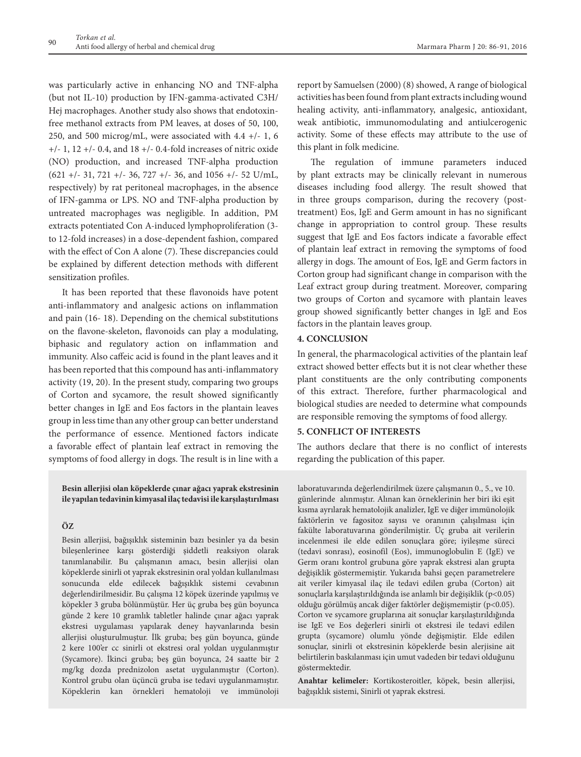was particularly active in enhancing NO and TNF-alpha (but not IL-10) production by IFN-gamma-activated C3H/ Hej macrophages. Another study also shows that endotoxinfree methanol extracts from PM leaves, at doses of 50, 100, 250, and 500 microg/mL, were associated with  $4.4 +/-1$ , 6 +/- 1, 12 +/- 0.4, and 18 +/- 0.4-fold increases of nitric oxide (NO) production, and increased TNF-alpha production (621 +/- 31, 721 +/- 36, 727 +/- 36, and 1056 +/- 52 U/mL, respectively) by rat peritoneal macrophages, in the absence of IFN-gamma or LPS. NO and TNF-alpha production by untreated macrophages was negligible. In addition, PM extracts potentiated Con A-induced lymphoproliferation (3 to 12-fold increases) in a dose-dependent fashion, compared with the effect of Con A alone (7). These discrepancies could be explained by different detection methods with different sensitization profiles.

It has been reported that these flavonoids have potent anti-inflammatory and analgesic actions on inflammation and pain (16- 18). Depending on the chemical substitutions on the flavone-skeleton, flavonoids can play a modulating, biphasic and regulatory action on inflammation and immunity. Also caffeic acid is found in the plant leaves and it has been reported that this compound has anti-inflammatory activity (19, 20). In the present study, comparing two groups of Corton and sycamore, the result showed significantly better changes in IgE and Eos factors in the plantain leaves group in less time than any other group can better understand the performance of essence. Mentioned factors indicate a favorable effect of plantain leaf extract in removing the symptoms of food allergy in dogs. The result is in line with a

### **Besin allerjisi olan köpeklerde çınar ağacı yaprak ekstresinin ile yapılan tedavinin kimyasal ilaç tedavisi ile karşılaştırılması**

# **ÖZ**

Besin allerjisi, bağışıklık sisteminin bazı besinler ya da besin bileşenlerinee karşı gösterdiği şiddetli reaksiyon olarak tanımlanabilir. Bu çalışmanın amacı, besin allerjisi olan köpeklerde sinirli ot yaprak ekstresinin oral yoldan kullanılması sonucunda elde edilecek bağışıklık sistemi cevabının değerlendirilmesidir. Bu çalışma 12 köpek üzerinde yapılmış ve köpekler 3 gruba bölünmüştür. Her üç gruba beş gün boyunca günde 2 kere 10 gramlık tabletler halinde çınar ağacı yaprak ekstresi uygulaması yapılarak deney hayvanlarında besin allerjisi oluşturulmuştur. İlk gruba; beş gün boyunca, günde 2 kere 100'er cc sinirli ot ekstresi oral yoldan uygulanmıştır (Sycamore). İkinci gruba; beş gün boyunca, 24 saatte bir 2 mg/kg dozda prednizolon asetat uygulanmıştır (Corton). Kontrol grubu olan üçüncü gruba ise tedavi uygulanmamıştır. Köpeklerin kan örnekleri hematoloji ve immünoloji

report by Samuelsen (2000) (8) showed, A range of biological activities has been found from plant extracts including wound healing activity, anti-inflammatory, analgesic, antioxidant, weak antibiotic, immunomodulating and antiulcerogenic activity. Some of these effects may attribute to the use of this plant in folk medicine.

The regulation of immune parameters induced by plant extracts may be clinically relevant in numerous diseases including food allergy. The result showed that in three groups comparison, during the recovery (posttreatment) Eos, IgE and Germ amount in has no significant change in appropriation to control group. These results suggest that IgE and Eos factors indicate a favorable effect of plantain leaf extract in removing the symptoms of food allergy in dogs. The amount of Eos, IgE and Germ factors in Corton group had significant change in comparison with the Leaf extract group during treatment. Moreover, comparing two groups of Corton and sycamore with plantain leaves group showed significantly better changes in IgE and Eos factors in the plantain leaves group.

# **4. CONCLUSION**

In general, the pharmacological activities of the plantain leaf extract showed better effects but it is not clear whether these plant constituents are the only contributing components of this extract. Therefore, further pharmacological and biological studies are needed to determine what compounds are responsible removing the symptoms of food allergy.

# **5. CONFLICT OF INTERESTS**

The authors declare that there is no conflict of interests regarding the publication of this paper.

laboratuvarında değerlendirilmek üzere çalışmanın 0., 5., ve 10. günlerinde alınmıştır. Alınan kan örneklerinin her biri iki eşit kısma ayrılarak hematolojik analizler, IgE ve diğer immünolojik faktörlerin ve fagositoz sayısı ve oranının çalışılması için fakülte laboratuvarına gönderilmiştir. Üç gruba ait verilerin incelenmesi ile elde edilen sonuçlara göre; iyileşme süreci (tedavi sonrası), eosinofil (Eos), immunoglobulin E (IgE) ve Germ oranı kontrol grubuna göre yaprak ekstresi alan grupta değişiklik göstermemiştir. Yukarıda bahsi geçen parametrelere ait veriler kimyasal ilaç ile tedavi edilen gruba (Corton) ait sonuçlarla karşılaştırıldığında ise anlamlı bir değişiklik (p<0.05) olduğu görülmüş ancak diğer faktörler değişmemiştir (p<0.05). Corton ve sycamore gruplarına ait sonuçlar karşılaştırıldığında ise IgE ve Eos değerleri sinirli ot ekstresi ile tedavi edilen grupta (sycamore) olumlu yönde değişmiştir. Elde edilen sonuçlar, sinirli ot ekstresinin köpeklerde besin alerjisine ait belirtilerin baskılanması için umut vadeden bir tedavi olduğunu göstermektedir.

**Anahtar kelimeler:** Kortikosteroitler, köpek, besin allerjisi, bağışıklık sistemi, Sinirli ot yaprak ekstresi.